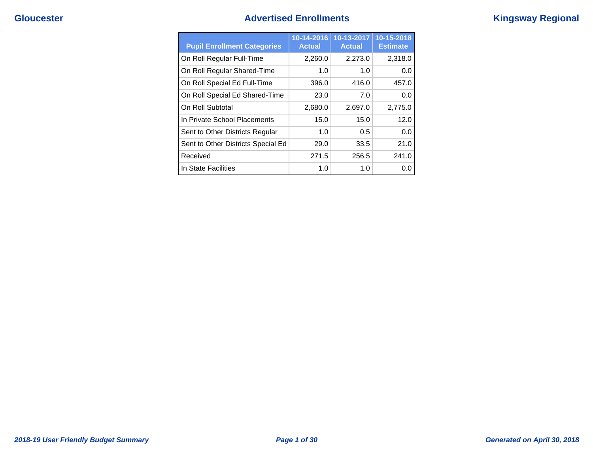# **Gloucester Advertised Enrollments Kingsway Regional**

| <b>Pupil Enrollment Categories</b> | 10-14-2016<br><b>Actual</b> | $10-13-2017$<br><b>Actual</b> | 10-15-2018<br><b>Estimate</b> |
|------------------------------------|-----------------------------|-------------------------------|-------------------------------|
| On Roll Regular Full-Time          | 2,260.0                     | 2,273.0                       | 2,318.0                       |
| On Roll Regular Shared-Time        | 1.0                         | 1.0                           | 0.0                           |
| On Roll Special Ed Full-Time       | 396.0                       | 416.0                         | 457.0                         |
| On Roll Special Ed Shared-Time     | 23.0                        | 7.0                           | 0.0                           |
| On Roll Subtotal                   | 2,680.0                     | 2,697.0                       | 2,775.0                       |
| In Private School Placements       | 15.0                        | 15.0                          | 12.0                          |
| Sent to Other Districts Regular    | 1.0                         | 0.5                           | 0.0                           |
| Sent to Other Districts Special Ed | 29.0                        | 33.5                          | 21.0                          |
| Received                           | 271.5                       | 256.5                         | 241.0                         |
| In State Facilities                | 1.0                         | 1.0                           | 0.0                           |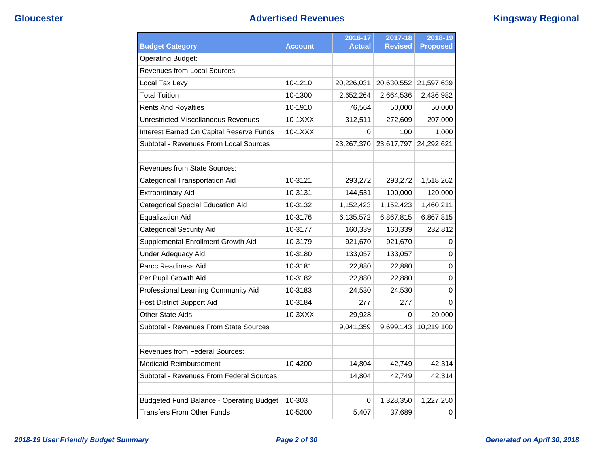| <b>Budget Category</b>                          | <b>Account</b> | 2016-17<br>Actual | 2017-18<br><b>Revised</b> | 2018-19<br><b>Proposed</b> |
|-------------------------------------------------|----------------|-------------------|---------------------------|----------------------------|
| <b>Operating Budget:</b>                        |                |                   |                           |                            |
| <b>Revenues from Local Sources:</b>             |                |                   |                           |                            |
| Local Tax Levy                                  | 10-1210        | 20,226,031        | 20,630,552                | 21,597,639                 |
| <b>Total Tuition</b>                            | 10-1300        | 2,652,264         | 2,664,536                 | 2,436,982                  |
| <b>Rents And Royalties</b>                      | 10-1910        | 76,564            | 50,000                    | 50,000                     |
| <b>Unrestricted Miscellaneous Revenues</b>      | 10-1XXX        | 312,511           | 272,609                   | 207,000                    |
| Interest Earned On Capital Reserve Funds        | 10-1XXX        | 0                 | 100                       | 1,000                      |
| Subtotal - Revenues From Local Sources          |                | 23,267,370        | 23,617,797                | 24,292,621                 |
| <b>Revenues from State Sources:</b>             |                |                   |                           |                            |
| <b>Categorical Transportation Aid</b>           | 10-3121        | 293,272           | 293,272                   | 1,518,262                  |
| <b>Extraordinary Aid</b>                        | 10-3131        | 144,531           | 100,000                   | 120,000                    |
| <b>Categorical Special Education Aid</b>        | 10-3132        | 1,152,423         | 1,152,423                 | 1,460,211                  |
| <b>Equalization Aid</b>                         | 10-3176        | 6,135,572         | 6,867,815                 | 6,867,815                  |
| <b>Categorical Security Aid</b>                 | 10-3177        | 160,339           | 160,339                   | 232,812                    |
| Supplemental Enrollment Growth Aid              | 10-3179        | 921,670           | 921,670                   | 0                          |
| <b>Under Adequacy Aid</b>                       | 10-3180        | 133,057           | 133,057                   | 0                          |
| Parcc Readiness Aid                             | 10-3181        | 22,880            | 22,880                    | 0                          |
| Per Pupil Growth Aid                            | 10-3182        | 22,880            | 22,880                    | 0                          |
| Professional Learning Community Aid             | 10-3183        | 24,530            | 24,530                    | 0                          |
| <b>Host District Support Aid</b>                | 10-3184        | 277               | 277                       | 0                          |
| <b>Other State Aids</b>                         | 10-3XXX        | 29,928            | 0                         | 20,000                     |
| <b>Subtotal - Revenues From State Sources</b>   |                | 9,041,359         | 9,699,143                 | 10,219,100                 |
| <b>Revenues from Federal Sources:</b>           |                |                   |                           |                            |
| <b>Medicaid Reimbursement</b>                   | 10-4200        | 14,804            | 42,749                    | 42,314                     |
| Subtotal - Revenues From Federal Sources        |                | 14,804            | 42,749                    | 42,314                     |
| <b>Budgeted Fund Balance - Operating Budget</b> | 10-303         | 0                 | 1,328,350                 | 1,227,250                  |
| <b>Transfers From Other Funds</b>               | 10-5200        | 5,407             | 37,689                    | 0                          |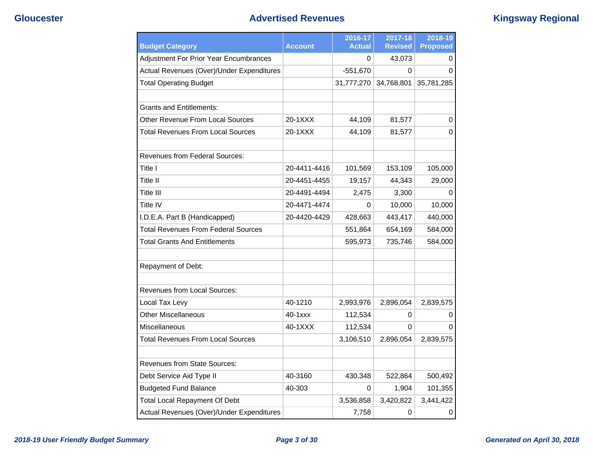# **Gloucester Advertised Revenues Kingsway Regional**

| <b>Budget Category</b>                        | <b>Account</b> | 2016-17<br><b>Actual</b> | 2017-18<br><b>Revised</b> | 2018-19<br><b>Proposed</b> |
|-----------------------------------------------|----------------|--------------------------|---------------------------|----------------------------|
| <b>Adjustment For Prior Year Encumbrances</b> |                | 0                        | 43,073                    | 0                          |
| Actual Revenues (Over)/Under Expenditures     |                | $-551,670$               | $\Omega$                  | $\Omega$                   |
| <b>Total Operating Budget</b>                 |                | 31,777,270               | 34,768,801                | 35,781,285                 |
| <b>Grants and Entitlements:</b>               |                |                          |                           |                            |
| Other Revenue From Local Sources              | 20-1XXX        | 44,109                   | 81,577                    | 0                          |
| Total Revenues From Local Sources             | 20-1XXX        | 44,109                   | 81,577                    | 0                          |
| <b>Revenues from Federal Sources:</b>         |                |                          |                           |                            |
| Title I                                       | 20-4411-4416   | 101,569                  | 153,109                   | 105,000                    |
| Title II                                      | 20-4451-4455   | 19,157                   | 44,343                    | 29,000                     |
| Title III                                     | 20-4491-4494   | 2,475                    | 3,300                     | 0                          |
| Title IV                                      | 20-4471-4474   | 0                        | 10,000                    | 10,000                     |
| I.D.E.A. Part B (Handicapped)                 | 20-4420-4429   | 428,663                  | 443,417                   | 440,000                    |
| <b>Total Revenues From Federal Sources</b>    |                | 551,864                  | 654,169                   | 584,000                    |
| <b>Total Grants And Entitlements</b>          |                | 595,973                  | 735,746                   | 584,000                    |
| Repayment of Debt:                            |                |                          |                           |                            |
| <b>Revenues from Local Sources:</b>           |                |                          |                           |                            |
| Local Tax Levy                                | 40-1210        | 2,993,976                | 2,896,054                 | 2,839,575                  |
| <b>Other Miscellaneous</b>                    | 40-1xxx        | 112,534                  | 0                         | 0                          |
| Miscellaneous                                 | 40-1XXX        | 112,534                  | 0                         | 0                          |
| Total Revenues From Local Sources             |                | 3,106,510                | 2,896,054                 | 2,839,575                  |
| <b>Revenues from State Sources:</b>           |                |                          |                           |                            |
| Debt Service Aid Type II                      | 40-3160        | 430,348                  | 522,864                   | 500,492                    |
| <b>Budgeted Fund Balance</b>                  | 40-303         | 0                        | 1,904                     | 101,355                    |
| <b>Total Local Repayment Of Debt</b>          |                | 3,536,858                | 3,420,822                 | 3,441,422                  |
| Actual Revenues (Over)/Under Expenditures     |                | 7,758                    | 0                         | 0                          |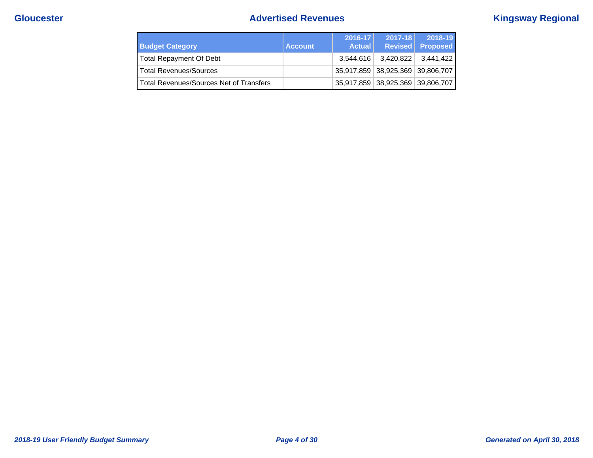# **Gloucester Advertised Revenues Kingsway Regional**

| <b>Budget Category</b>                  | <b>Account</b> | $2016 - 17$<br><b>Actual</b> | $2017 - 18$                      | 2018-19<br>Revised Proposed |
|-----------------------------------------|----------------|------------------------------|----------------------------------|-----------------------------|
| Total Repayment Of Debt                 |                | 3.544.616                    | 3,420,822                        | 3.441.422 l                 |
| <b>Total Revenues/Sources</b>           |                |                              | 35,917,859 38,925,369 39,806,707 |                             |
| Total Revenues/Sources Net of Transfers |                |                              | 35,917,859 38,925,369 39,806,707 |                             |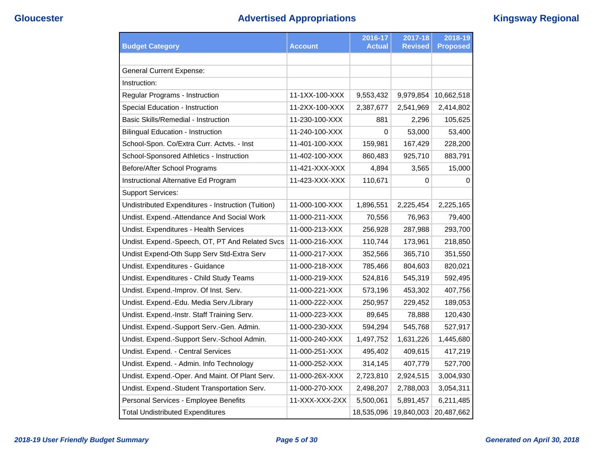# **Gloucester Advertised Appropriations Kingsway Regional**

|                                                    |                | 2016-17       | 2017-18        | 2018-19         |
|----------------------------------------------------|----------------|---------------|----------------|-----------------|
| <b>Budget Category</b>                             | <b>Account</b> | <b>Actual</b> | <b>Revised</b> | <b>Proposed</b> |
|                                                    |                |               |                |                 |
| <b>General Current Expense:</b>                    |                |               |                |                 |
| Instruction:                                       |                |               |                |                 |
| Regular Programs - Instruction                     | 11-1XX-100-XXX | 9,553,432     | 9,979,854      | 10,662,518      |
| Special Education - Instruction                    | 11-2XX-100-XXX | 2,387,677     | 2,541,969      | 2,414,802       |
| <b>Basic Skills/Remedial - Instruction</b>         | 11-230-100-XXX | 881           | 2,296          | 105,625         |
| <b>Bilingual Education - Instruction</b>           | 11-240-100-XXX | 0             | 53,000         | 53,400          |
| School-Spon. Co/Extra Curr. Actvts. - Inst         | 11-401-100-XXX | 159,981       | 167,429        | 228,200         |
| School-Sponsored Athletics - Instruction           | 11-402-100-XXX | 860,483       | 925,710        | 883,791         |
| Before/After School Programs                       | 11-421-XXX-XXX | 4,894         | 3,565          | 15,000          |
| Instructional Alternative Ed Program               | 11-423-XXX-XXX | 110,671       | 0              | 0               |
| <b>Support Services:</b>                           |                |               |                |                 |
| Undistributed Expenditures - Instruction (Tuition) | 11-000-100-XXX | 1,896,551     | 2,225,454      | 2,225,165       |
| Undist. Expend.-Attendance And Social Work         | 11-000-211-XXX | 70,556        | 76,963         | 79,400          |
| Undist. Expenditures - Health Services             | 11-000-213-XXX | 256,928       | 287,988        | 293,700         |
| Undist. Expend.-Speech, OT, PT And Related Svcs    | 11-000-216-XXX | 110,744       | 173,961        | 218,850         |
| Undist Expend-Oth Supp Serv Std-Extra Serv         | 11-000-217-XXX | 352,566       | 365,710        | 351,550         |
| Undist. Expenditures - Guidance                    | 11-000-218-XXX | 785,466       | 804,603        | 820,021         |
| Undist. Expenditures - Child Study Teams           | 11-000-219-XXX | 524,816       | 545,319        | 592,495         |
| Undist. Expend.-Improv. Of Inst. Serv.             | 11-000-221-XXX | 573,196       | 453,302        | 407,756         |
| Undist. Expend.-Edu. Media Serv./Library           | 11-000-222-XXX | 250,957       | 229,452        | 189,053         |
| Undist. Expend.-Instr. Staff Training Serv.        | 11-000-223-XXX | 89,645        | 78,888         | 120,430         |
| Undist. Expend.-Support Serv.-Gen. Admin.          | 11-000-230-XXX | 594,294       | 545,768        | 527,917         |
| Undist. Expend.-Support Serv.-School Admin.        | 11-000-240-XXX | 1,497,752     | 1,631,226      | 1,445,680       |
| Undist. Expend. - Central Services                 | 11-000-251-XXX | 495,402       | 409,615        | 417,219         |
| Undist. Expend. - Admin. Info Technology           | 11-000-252-XXX | 314,145       | 407,779        | 527,700         |
| Undist. Expend.-Oper. And Maint. Of Plant Serv.    | 11-000-26X-XXX | 2,723,810     | 2,924,515      | 3,004,930       |
| Undist. Expend.-Student Transportation Serv.       | 11-000-270-XXX | 2,498,207     | 2,788,003      | 3,054,311       |
| Personal Services - Employee Benefits              | 11-XXX-XXX-2XX | 5,500,061     | 5,891,457      | 6,211,485       |
| <b>Total Undistributed Expenditures</b>            |                | 18,535,096    | 19,840,003     | 20,487,662      |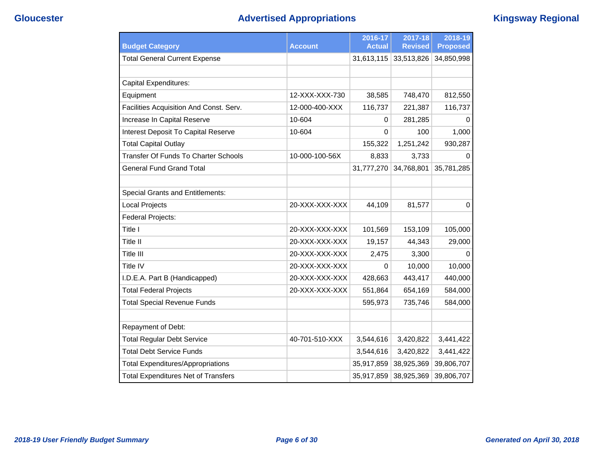# **Gloucester Advertised Appropriations Kingsway Regional**

|                                             |                | 2016-17       | 2017-18        | 2018-19         |
|---------------------------------------------|----------------|---------------|----------------|-----------------|
| <b>Budget Category</b>                      | <b>Account</b> | <b>Actual</b> | <b>Revised</b> | <b>Proposed</b> |
| <b>Total General Current Expense</b>        |                | 31,613,115    | 33,513,826     | 34,850,998      |
|                                             |                |               |                |                 |
| <b>Capital Expenditures:</b>                |                |               |                |                 |
| Equipment                                   | 12-XXX-XXX-730 | 38,585        | 748,470        | 812,550         |
| Facilities Acquisition And Const. Serv.     | 12-000-400-XXX | 116,737       | 221,387        | 116,737         |
| Increase In Capital Reserve                 | 10-604         | 0             | 281,285        | 0               |
| Interest Deposit To Capital Reserve         | 10-604         | 0             | 100            | 1,000           |
| <b>Total Capital Outlay</b>                 |                | 155,322       | 1,251,242      | 930,287         |
| <b>Transfer Of Funds To Charter Schools</b> | 10-000-100-56X | 8,833         | 3,733          | 0               |
| <b>General Fund Grand Total</b>             |                | 31,777,270    | 34,768,801     | 35,781,285      |
|                                             |                |               |                |                 |
| <b>Special Grants and Entitlements:</b>     |                |               |                |                 |
| <b>Local Projects</b>                       | 20-XXX-XXX-XXX | 44,109        | 81,577         | $\mathbf 0$     |
| Federal Projects:                           |                |               |                |                 |
| Title I                                     | 20-XXX-XXX-XXX | 101,569       | 153,109        | 105,000         |
| Title II                                    | 20-XXX-XXX-XXX | 19,157        | 44,343         | 29,000          |
| <b>Title III</b>                            | 20-XXX-XXX-XXX | 2,475         | 3,300          | 0               |
| Title IV                                    | 20-XXX-XXX-XXX | 0             | 10,000         | 10,000          |
| I.D.E.A. Part B (Handicapped)               | 20-XXX-XXX-XXX | 428,663       | 443,417        | 440,000         |
| <b>Total Federal Projects</b>               | 20-XXX-XXX-XXX | 551,864       | 654,169        | 584,000         |
| <b>Total Special Revenue Funds</b>          |                | 595,973       | 735,746        | 584,000         |
|                                             |                |               |                |                 |
| Repayment of Debt:                          |                |               |                |                 |
| <b>Total Regular Debt Service</b>           | 40-701-510-XXX | 3,544,616     | 3,420,822      | 3,441,422       |
| <b>Total Debt Service Funds</b>             |                | 3,544,616     | 3,420,822      | 3,441,422       |
| <b>Total Expenditures/Appropriations</b>    |                | 35,917,859    | 38,925,369     | 39,806,707      |
| <b>Total Expenditures Net of Transfers</b>  |                | 35,917,859    | 38,925,369     | 39,806,707      |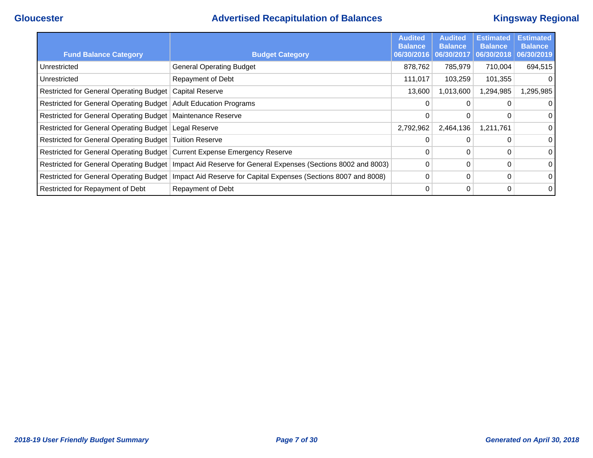# **Gloucester Advertised Recapitulation of Balances Kingsway Regional**

| <b>Fund Balance Category</b>                                              | <b>Budget Category</b>                                                                                     | <b>Audited</b><br><b>Balance</b><br>06/30/2016 | <b>Audited</b><br><b>Balance</b><br>06/30/2017 | <b>Estimated</b><br><b>Balance</b><br>06/30/2018 | <b>Estimated</b><br><b>Balance</b><br>06/30/2019 |
|---------------------------------------------------------------------------|------------------------------------------------------------------------------------------------------------|------------------------------------------------|------------------------------------------------|--------------------------------------------------|--------------------------------------------------|
| Unrestricted                                                              | <b>General Operating Budget</b>                                                                            | 878,762                                        | 785,979                                        | 710,004                                          | 694,515                                          |
| Unrestricted                                                              | Repayment of Debt                                                                                          | 111,017                                        | 103,259                                        | 101,355                                          |                                                  |
| Restricted for General Operating Budget   Capital Reserve                 |                                                                                                            | 13,600                                         | 1,013,600                                      | 1,294,985                                        | ,295,985                                         |
| Restricted for General Operating Budget   Adult Education Programs        |                                                                                                            | 0                                              | 0                                              | 0                                                |                                                  |
| Restricted for General Operating Budget   Maintenance Reserve             |                                                                                                            | 0                                              | 0                                              | 0                                                | $\Omega$                                         |
| Restricted for General Operating Budget   Legal Reserve                   |                                                                                                            | 2,792,962                                      | 2,464,136                                      | 1,211,761                                        |                                                  |
| Restricted for General Operating Budget   Tuition Reserve                 |                                                                                                            | $\Omega$                                       | 0                                              | 0                                                | $\Omega$                                         |
| Restricted for General Operating Budget Current Expense Emergency Reserve |                                                                                                            | 0                                              | 0                                              | 0                                                | $\Omega$                                         |
|                                                                           | Restricted for General Operating Budget   Impact Aid Reserve for General Expenses (Sections 8002 and 8003) | 0                                              | 0                                              | 0                                                | $\Omega$                                         |
| Restricted for General Operating Budget                                   | Impact Aid Reserve for Capital Expenses (Sections 8007 and 8008)                                           | $\mathbf 0$                                    | 0                                              | 0                                                | 0                                                |
| Restricted for Repayment of Debt                                          | Repayment of Debt                                                                                          | 0                                              | 0                                              | 0                                                | $\Omega$                                         |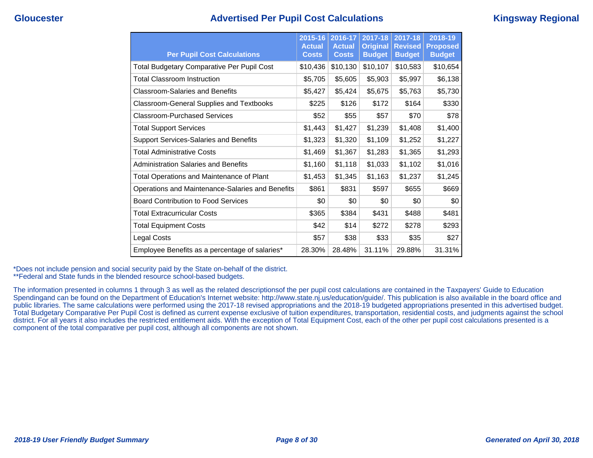### **Gloucester Advertised Per Pupil Cost Calculations Kingsway Regional**

| <b>Per Pupil Cost Calculations</b>                | 2015-16<br><b>Actual</b><br><b>Costs</b> | 2016-17<br><b>Actual</b><br><b>Costs</b> | $2017 - 18$<br><b>Original</b><br><b>Budget</b> | $2017 - 18$<br><b>Revised</b><br><b>Budget</b> | 2018-19<br><b>Proposed</b><br><b>Budget</b> |
|---------------------------------------------------|------------------------------------------|------------------------------------------|-------------------------------------------------|------------------------------------------------|---------------------------------------------|
| <b>Total Budgetary Comparative Per Pupil Cost</b> | \$10,436                                 | \$10,130                                 | \$10,107                                        | \$10,583                                       | \$10,654                                    |
| <b>Total Classroom Instruction</b>                | \$5,705                                  | \$5,605                                  | \$5,903                                         | \$5,997                                        | \$6,138                                     |
| <b>Classroom-Salaries and Benefits</b>            | \$5,427                                  | \$5,424                                  | \$5,675                                         | \$5,763                                        | \$5,730                                     |
| Classroom-General Supplies and Textbooks          | \$225                                    | \$126                                    | \$172                                           | \$164                                          | \$330                                       |
| <b>Classroom-Purchased Services</b>               | \$52                                     | \$55                                     | \$57                                            | \$70                                           | \$78                                        |
| <b>Total Support Services</b>                     | \$1,443                                  | \$1,427                                  | \$1,239                                         | \$1,408                                        | \$1,400                                     |
| <b>Support Services-Salaries and Benefits</b>     | \$1,323                                  | \$1,320                                  | \$1,109                                         | \$1,252                                        | \$1,227                                     |
| <b>Total Administrative Costs</b>                 | \$1,469                                  | \$1,367                                  | \$1,283                                         | \$1,365                                        | \$1,293                                     |
| Administration Salaries and Benefits              | \$1,160                                  | \$1,118                                  | \$1,033                                         | \$1,102                                        | \$1,016                                     |
| <b>Total Operations and Maintenance of Plant</b>  | \$1,453                                  | \$1,345                                  | \$1,163                                         | \$1,237                                        | \$1,245                                     |
| Operations and Maintenance-Salaries and Benefits  | \$861                                    | \$831                                    | \$597                                           | \$655                                          | \$669                                       |
| <b>Board Contribution to Food Services</b>        | \$0                                      | \$0                                      | \$0                                             | \$0                                            | \$0                                         |
| <b>Total Extracurricular Costs</b>                | \$365                                    | \$384                                    | \$431                                           | \$488                                          | \$481                                       |
| <b>Total Equipment Costs</b>                      | \$42                                     | \$14                                     | \$272                                           | \$278                                          | \$293                                       |
| <b>Legal Costs</b>                                | \$57                                     | \$38                                     | \$33                                            | \$35                                           | \$27                                        |
| Employee Benefits as a percentage of salaries*    | 28.30%                                   | 28.48%                                   | 31.11%                                          | 29.88%                                         | 31.31%                                      |

\*Does not include pension and social security paid by the State on-behalf of the district.

\*\*Federal and State funds in the blended resource school-based budgets.

The information presented in columns 1 through 3 as well as the related descriptionsof the per pupil cost calculations are contained in the Taxpayers' Guide to Education Spendingand can be found on the Department of Education's Internet website: http://www.state.nj.us/education/guide/. This publication is also available in the board office and public libraries. The same calculations were performed using the 2017-18 revised appropriations and the 2018-19 budgeted appropriations presented in this advertised budget. Total Budgetary Comparative Per Pupil Cost is defined as current expense exclusive of tuition expenditures, transportation, residential costs, and judgments against the school district. For all years it also includes the restricted entitlement aids. With the exception of Total Equipment Cost, each of the other per pupil cost calculations presented is a component of the total comparative per pupil cost, although all components are not shown.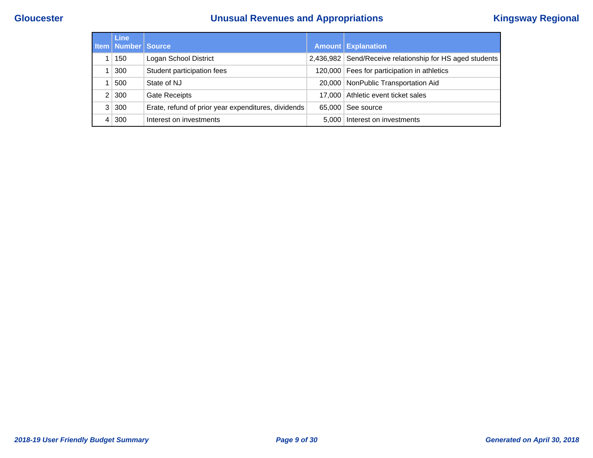# **Gloucester Unusual Revenues and Appropriations Kingsway Regional**

| <b>Line</b><br><b>Item   Number   Source</b> |                                                     |        | <b>Amount Explanation</b>                                |
|----------------------------------------------|-----------------------------------------------------|--------|----------------------------------------------------------|
| 150                                          | Logan School District                               |        | 2,436,982 Send/Receive relationship for HS aged students |
| 300                                          | Student participation fees                          |        | 120,000 Fees for participation in athletics              |
| 500                                          | State of NJ                                         | 20.000 | NonPublic Transportation Aid                             |
| 2 300                                        | <b>Gate Receipts</b>                                |        | 17,000 Athletic event ticket sales                       |
| 3 300                                        | Erate, refund of prior year expenditures, dividends | 65,000 | See source                                               |
| 4 300                                        | Interest on investments                             | 5.000  | Interest on investments                                  |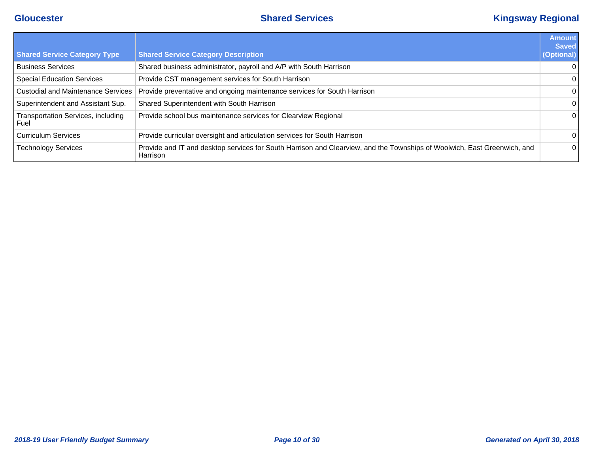# **Gloucester Shared Services Kingsway Regional**

|                                                   |                                                                                                                                      | <b>Amount</b><br><b>Saved</b> |
|---------------------------------------------------|--------------------------------------------------------------------------------------------------------------------------------------|-------------------------------|
| <b>Shared Service Category Type</b>               | <b>Shared Service Category Description</b>                                                                                           | (Optional)                    |
| <b>Business Services</b>                          | Shared business administrator, payroll and A/P with South Harrison                                                                   | $\overline{0}$                |
| <b>Special Education Services</b>                 | Provide CST management services for South Harrison                                                                                   | $\mathbf{0}$                  |
| <b>Custodial and Maintenance Services</b>         | Provide preventative and ongoing maintenance services for South Harrison                                                             | $\overline{0}$                |
| Superintendent and Assistant Sup.                 | Shared Superintendent with South Harrison                                                                                            | $\overline{0}$                |
| <b>Transportation Services, including</b><br>Fuel | Provide school bus maintenance services for Clearview Regional                                                                       | $\overline{0}$                |
| <b>Curriculum Services</b>                        | Provide curricular oversight and articulation services for South Harrison                                                            | $\Omega$                      |
| <b>Technology Services</b>                        | Provide and IT and desktop services for South Harrison and Clearview, and the Townships of Woolwich, East Greenwich, and<br>Harrison | $\Omega$                      |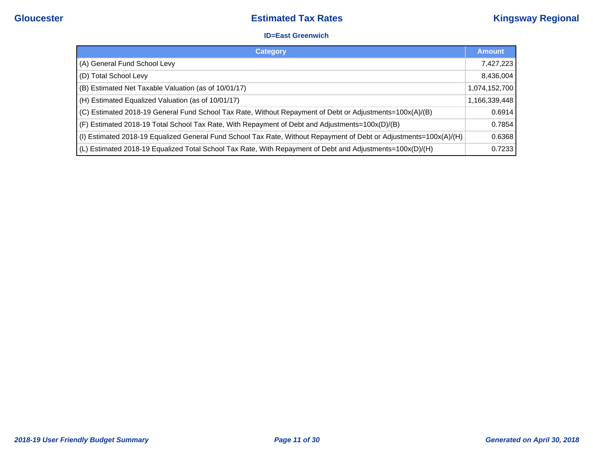#### **ID=East Greenwich**

| <b>Category</b>                                                                                                    | <b>Amount</b> |
|--------------------------------------------------------------------------------------------------------------------|---------------|
| (A) General Fund School Levy                                                                                       | 7,427,223     |
| (D) Total School Levy                                                                                              | 8,436,004     |
| (B) Estimated Net Taxable Valuation (as of 10/01/17)                                                               | 1,074,152,700 |
| (H) Estimated Equalized Valuation (as of 10/01/17)                                                                 | 1,166,339,448 |
| (C) Estimated 2018-19 General Fund School Tax Rate, Without Repayment of Debt or Adjustments=100x(A)/(B)           | 0.6914        |
| (F) Estimated 2018-19 Total School Tax Rate, With Repayment of Debt and Adjustments=100x(D)/(B)                    | 0.7854        |
| (I) Estimated 2018-19 Equalized General Fund School Tax Rate, Without Repayment of Debt or Adjustments=100x(A)/(H) | 0.6368        |
| (L) Estimated 2018-19 Equalized Total School Tax Rate, With Repayment of Debt and Adjustments=100x(D)/(H)          | 0.7233        |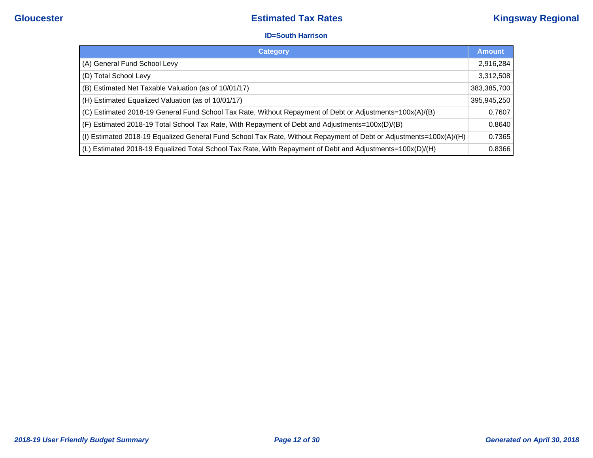#### **ID=South Harrison**

| <b>Category</b>                                                                                                     | <b>Amount</b> |
|---------------------------------------------------------------------------------------------------------------------|---------------|
| (A) General Fund School Levy                                                                                        | 2,916,284     |
| (D) Total School Levy                                                                                               | 3,312,508     |
| (B) Estimated Net Taxable Valuation (as of 10/01/17)                                                                | 383,385,700   |
| (H) Estimated Equalized Valuation (as of 10/01/17)                                                                  | 395,945,250   |
| (C) Estimated 2018-19 General Fund School Tax Rate, Without Repayment of Debt or Adjustments=100x(A)/(B)            | 0.7607        |
| (F) Estimated 2018-19 Total School Tax Rate, With Repayment of Debt and Adjustments=100x(D)/(B)                     | 0.8640        |
| (I) Estimated 2018-19 Equalized General Fund School Tax Rate, Without Repayment of Debt or Adjustments=100x(A)   H) | 0.7365        |
| (L) Estimated 2018-19 Equalized Total School Tax Rate, With Repayment of Debt and Adjustments=100x(D)/(H)           | 0.8366        |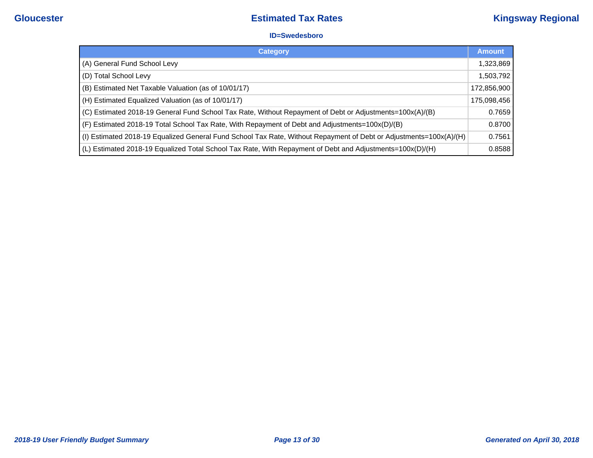#### **ID=Swedesboro**

| <b>Category</b>                                                                                                    | <b>Amount</b> |
|--------------------------------------------------------------------------------------------------------------------|---------------|
| (A) General Fund School Levy                                                                                       | 1,323,869     |
| (D) Total School Levy                                                                                              | 1,503,792     |
| (B) Estimated Net Taxable Valuation (as of 10/01/17)                                                               | 172,856,900   |
| (H) Estimated Equalized Valuation (as of 10/01/17)                                                                 | 175,098,456   |
| (C) Estimated 2018-19 General Fund School Tax Rate, Without Repayment of Debt or Adjustments=100x(A)/(B)           | 0.7659        |
| (F) Estimated 2018-19 Total School Tax Rate, With Repayment of Debt and Adjustments=100x(D)/(B)                    | 0.8700        |
| (I) Estimated 2018-19 Equalized General Fund School Tax Rate, Without Repayment of Debt or Adjustments=100x(A)/(H) | 0.7561        |
| (L) Estimated 2018-19 Equalized Total School Tax Rate, With Repayment of Debt and Adjustments=100x(D)/(H)          | 0.8588        |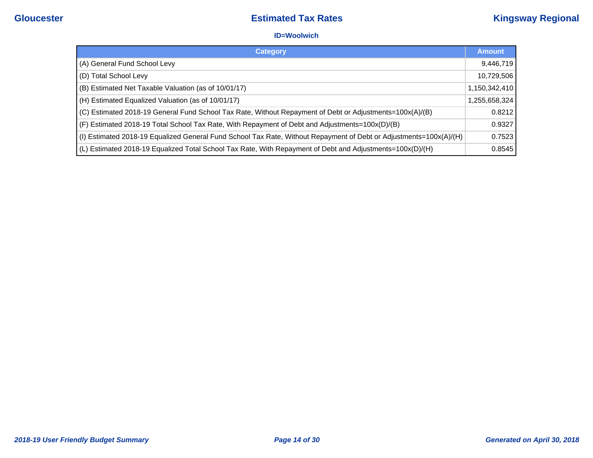#### **ID=Woolwich**

| <b>Category</b>                                                                                                    | <b>Amount</b> |
|--------------------------------------------------------------------------------------------------------------------|---------------|
| (A) General Fund School Levy                                                                                       | 9,446,719     |
| (D) Total School Levy                                                                                              | 10,729,506    |
| (B) Estimated Net Taxable Valuation (as of 10/01/17)                                                               | 1,150,342,410 |
| (H) Estimated Equalized Valuation (as of 10/01/17)                                                                 | 1,255,658,324 |
| (C) Estimated 2018-19 General Fund School Tax Rate, Without Repayment of Debt or Adjustments=100x(A)/(B)           | 0.8212        |
| (F) Estimated 2018-19 Total School Tax Rate, With Repayment of Debt and Adjustments=100x(D)/(B)                    | 0.9327        |
| (I) Estimated 2018-19 Equalized General Fund School Tax Rate, Without Repayment of Debt or Adjustments=100x(A) [H) | 0.7523        |
| (L) Estimated 2018-19 Equalized Total School Tax Rate, With Repayment of Debt and Adjustments=100x(D)/(H)          | 0.8545        |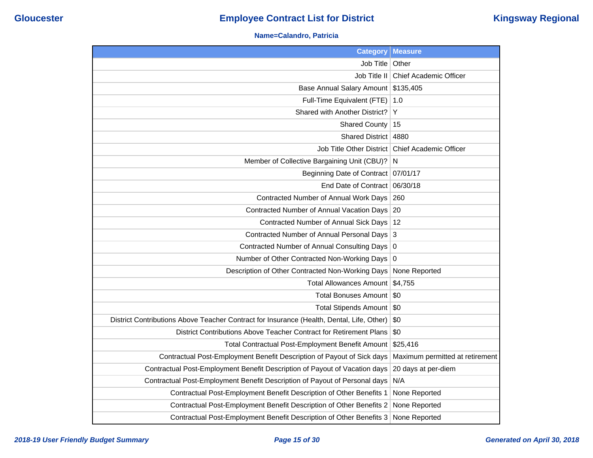### **Name=Calandro, Patricia**

| <b>Category</b>                                                                           | <b>Measure</b>                  |
|-------------------------------------------------------------------------------------------|---------------------------------|
| Job Title                                                                                 | Other                           |
| Job Title II                                                                              | <b>Chief Academic Officer</b>   |
| <b>Base Annual Salary Amount</b>                                                          | \$135,405                       |
| Full-Time Equivalent (FTE)                                                                | 1.0                             |
| Shared with Another District?                                                             | Y                               |
| <b>Shared County</b>                                                                      | 15                              |
| <b>Shared District</b>                                                                    | 4880                            |
| Job Title Other District                                                                  | <b>Chief Academic Officer</b>   |
| Member of Collective Bargaining Unit (CBU)?                                               | N                               |
| <b>Beginning Date of Contract</b>                                                         | 07/01/17                        |
| End Date of Contract                                                                      | 06/30/18                        |
| Contracted Number of Annual Work Days                                                     | 260                             |
| Contracted Number of Annual Vacation Days                                                 | 20                              |
| Contracted Number of Annual Sick Days                                                     | 12                              |
| <b>Contracted Number of Annual Personal Days</b>                                          | 3                               |
| <b>Contracted Number of Annual Consulting Days</b>                                        | $\overline{0}$                  |
| Number of Other Contracted Non-Working Days                                               | 0                               |
| Description of Other Contracted Non-Working Days                                          | None Reported                   |
| <b>Total Allowances Amount</b>                                                            | \$4,755                         |
| <b>Total Bonuses Amount</b>                                                               | \$0                             |
| Total Stipends Amount   \$0                                                               |                                 |
| District Contributions Above Teacher Contract for Insurance (Health, Dental, Life, Other) | \$0                             |
| District Contributions Above Teacher Contract for Retirement Plans                        | \$0                             |
| Total Contractual Post-Employment Benefit Amount                                          | \$25,416                        |
| Contractual Post-Employment Benefit Description of Payout of Sick days                    | Maximum permitted at retirement |
| Contractual Post-Employment Benefit Description of Payout of Vacation days                | 20 days at per-diem             |
| Contractual Post-Employment Benefit Description of Payout of Personal days                | N/A                             |
| Contractual Post-Employment Benefit Description of Other Benefits 1                       | None Reported                   |
| Contractual Post-Employment Benefit Description of Other Benefits 2                       | None Reported                   |
| Contractual Post-Employment Benefit Description of Other Benefits 3                       | None Reported                   |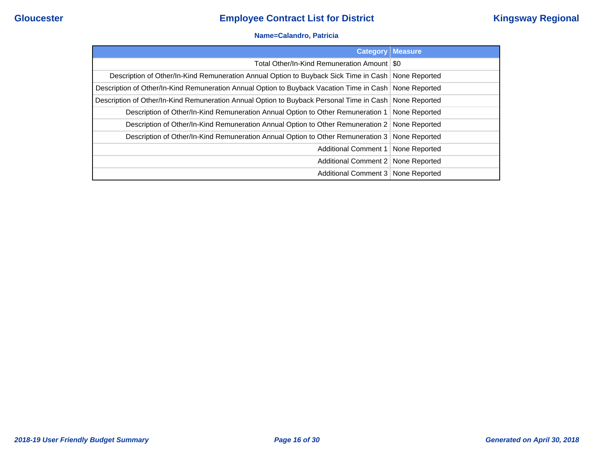### **Name=Calandro, Patricia**

| <b>Category</b>                                                                                        | Measure       |
|--------------------------------------------------------------------------------------------------------|---------------|
| Total Other/In-Kind Remuneration Amount   \$0                                                          |               |
| Description of Other/In-Kind Remuneration Annual Option to Buyback Sick Time in Cash   None Reported   |               |
| Description of Other/In-Kind Remuneration Annual Option to Buyback Vacation Time in Cash None Reported |               |
| Description of Other/In-Kind Remuneration Annual Option to Buyback Personal Time in Cash None Reported |               |
| Description of Other/In-Kind Remuneration Annual Option to Other Remuneration 1   None Reported        |               |
| Description of Other/In-Kind Remuneration Annual Option to Other Remuneration 2   None Reported        |               |
| Description of Other/In-Kind Remuneration Annual Option to Other Remuneration 3 None Reported          |               |
| Additional Comment 1                                                                                   | None Reported |
| Additional Comment 2   None Reported                                                                   |               |
| Additional Comment 3   None Reported                                                                   |               |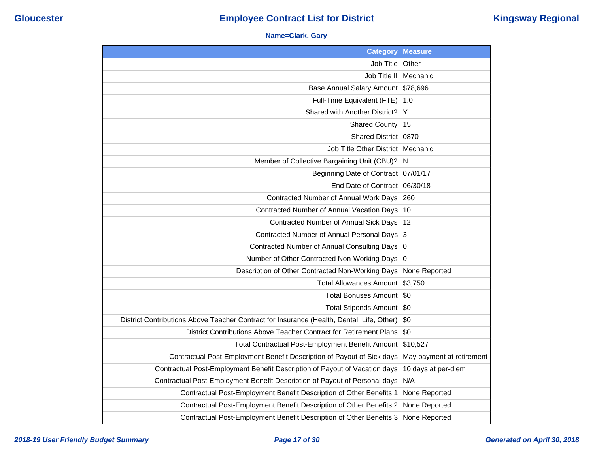### **Name=Clark, Gary**

| <b>Category</b>                                                                           | <b>Measure</b>            |
|-------------------------------------------------------------------------------------------|---------------------------|
| Job Title                                                                                 | Other                     |
| Job Title II                                                                              | Mechanic                  |
| <b>Base Annual Salary Amount</b>                                                          | \$78,696                  |
| Full-Time Equivalent (FTE)                                                                | 1.0                       |
| Shared with Another District?                                                             | Y                         |
| <b>Shared County</b>                                                                      | 15                        |
| Shared District   0870                                                                    |                           |
| Job Title Other District   Mechanic                                                       |                           |
| Member of Collective Bargaining Unit (CBU)?                                               | N                         |
| Beginning Date of Contract   07/01/17                                                     |                           |
| End Date of Contract 06/30/18                                                             |                           |
| Contracted Number of Annual Work Days                                                     | 260                       |
| Contracted Number of Annual Vacation Days                                                 | 10                        |
| <b>Contracted Number of Annual Sick Days</b>                                              | 12                        |
| Contracted Number of Annual Personal Days                                                 | 3                         |
| <b>Contracted Number of Annual Consulting Days</b>                                        | $\boldsymbol{0}$          |
| Number of Other Contracted Non-Working Days                                               | 0                         |
| Description of Other Contracted Non-Working Days                                          | None Reported             |
| <b>Total Allowances Amount</b>                                                            | \$3,750                   |
| <b>Total Bonuses Amount</b>                                                               | \$0                       |
| <b>Total Stipends Amount</b>                                                              | \$0                       |
| District Contributions Above Teacher Contract for Insurance (Health, Dental, Life, Other) | \$0                       |
| District Contributions Above Teacher Contract for Retirement Plans                        | \$0                       |
| Total Contractual Post-Employment Benefit Amount                                          | \$10,527                  |
| Contractual Post-Employment Benefit Description of Payout of Sick days                    | May payment at retirement |
| Contractual Post-Employment Benefit Description of Payout of Vacation days                | 10 days at per-diem       |
| Contractual Post-Employment Benefit Description of Payout of Personal days                | N/A                       |
| Contractual Post-Employment Benefit Description of Other Benefits 1                       | None Reported             |
| Contractual Post-Employment Benefit Description of Other Benefits 2                       | None Reported             |
| Contractual Post-Employment Benefit Description of Other Benefits 3                       | None Reported             |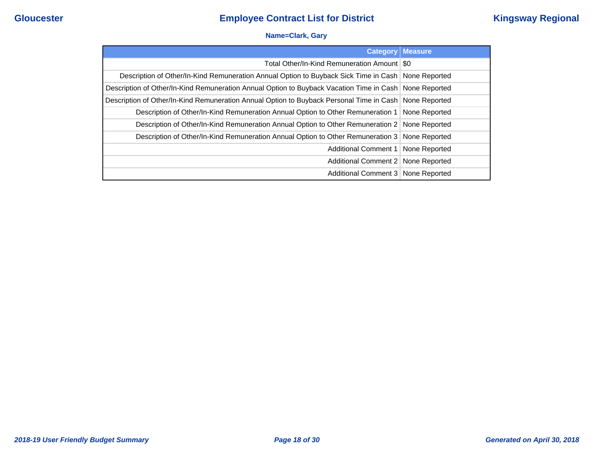### **Name=Clark, Gary**

|                                                                                                        | <b>Category Measure</b> |
|--------------------------------------------------------------------------------------------------------|-------------------------|
| Total Other/In-Kind Remuneration Amount   \$0                                                          |                         |
| Description of Other/In-Kind Remuneration Annual Option to Buyback Sick Time in Cash   None Reported   |                         |
| Description of Other/In-Kind Remuneration Annual Option to Buyback Vacation Time in Cash None Reported |                         |
| Description of Other/In-Kind Remuneration Annual Option to Buyback Personal Time in Cash None Reported |                         |
| Description of Other/In-Kind Remuneration Annual Option to Other Remuneration 1   None Reported        |                         |
| Description of Other/In-Kind Remuneration Annual Option to Other Remuneration 2 None Reported          |                         |
| Description of Other/In-Kind Remuneration Annual Option to Other Remuneration 3   None Reported        |                         |
| Additional Comment 1   None Reported                                                                   |                         |
| Additional Comment 2   None Reported                                                                   |                         |
| Additional Comment 3   None Reported                                                                   |                         |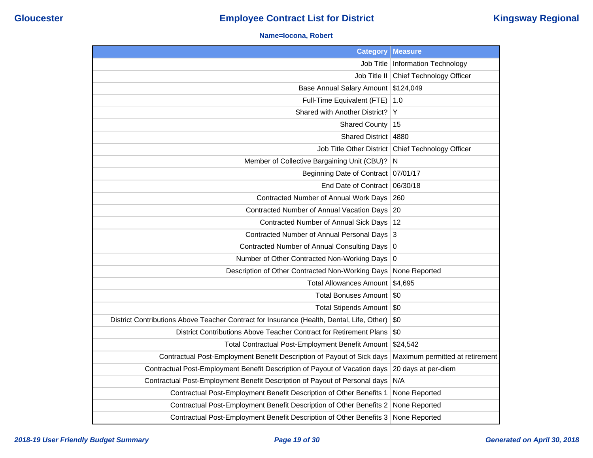#### **Name=Iocona, Robert**

| <b>Category</b>                                                                           | <b>Measure</b>                  |
|-------------------------------------------------------------------------------------------|---------------------------------|
| Job Title                                                                                 | <b>Information Technology</b>   |
| Job Title II                                                                              | Chief Technology Officer        |
| <b>Base Annual Salary Amount</b>                                                          | \$124,049                       |
| Full-Time Equivalent (FTE)                                                                | 1.0                             |
| Shared with Another District?                                                             | Y                               |
| <b>Shared County</b>                                                                      | 15                              |
| <b>Shared District</b>                                                                    | 4880                            |
| <b>Job Title Other District</b>                                                           | Chief Technology Officer        |
| Member of Collective Bargaining Unit (CBU)?                                               | N                               |
| <b>Beginning Date of Contract</b>                                                         | 07/01/17                        |
| End Date of Contract                                                                      | 06/30/18                        |
| Contracted Number of Annual Work Days                                                     | 260                             |
| Contracted Number of Annual Vacation Days                                                 | -20                             |
| Contracted Number of Annual Sick Days                                                     | 12                              |
| Contracted Number of Annual Personal Days                                                 | 3                               |
| <b>Contracted Number of Annual Consulting Days</b>                                        | $\overline{0}$                  |
| Number of Other Contracted Non-Working Days                                               | $\overline{0}$                  |
| Description of Other Contracted Non-Working Days                                          | None Reported                   |
| <b>Total Allowances Amount</b>                                                            | \$4,695                         |
| <b>Total Bonuses Amount</b>                                                               | \$0                             |
| <b>Total Stipends Amount</b>                                                              | \$0                             |
| District Contributions Above Teacher Contract for Insurance (Health, Dental, Life, Other) | \$0                             |
| District Contributions Above Teacher Contract for Retirement Plans                        | \$0                             |
| Total Contractual Post-Employment Benefit Amount                                          | \$24,542                        |
| Contractual Post-Employment Benefit Description of Payout of Sick days                    | Maximum permitted at retirement |
| Contractual Post-Employment Benefit Description of Payout of Vacation days                | 20 days at per-diem             |
| Contractual Post-Employment Benefit Description of Payout of Personal days                | N/A                             |
| Contractual Post-Employment Benefit Description of Other Benefits 1                       | None Reported                   |
| Contractual Post-Employment Benefit Description of Other Benefits 2                       | None Reported                   |
| Contractual Post-Employment Benefit Description of Other Benefits 3                       | None Reported                   |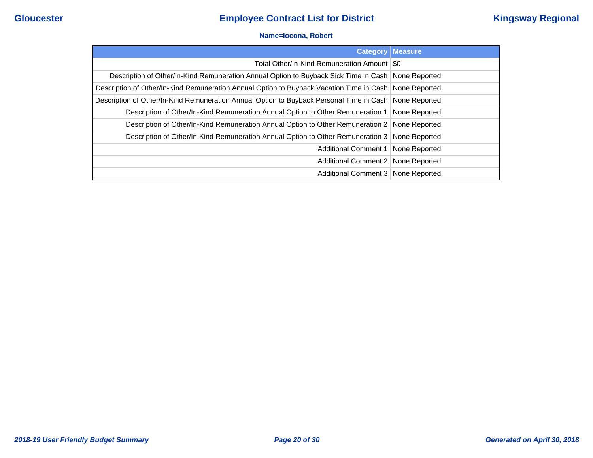#### **Name=Iocona, Robert**

| <b>Category</b>                                                                                        | Measure       |
|--------------------------------------------------------------------------------------------------------|---------------|
| Total Other/In-Kind Remuneration Amount   \$0                                                          |               |
| Description of Other/In-Kind Remuneration Annual Option to Buyback Sick Time in Cash   None Reported   |               |
| Description of Other/In-Kind Remuneration Annual Option to Buyback Vacation Time in Cash None Reported |               |
| Description of Other/In-Kind Remuneration Annual Option to Buyback Personal Time in Cash None Reported |               |
| Description of Other/In-Kind Remuneration Annual Option to Other Remuneration 1   None Reported        |               |
| Description of Other/In-Kind Remuneration Annual Option to Other Remuneration 2   None Reported        |               |
| Description of Other/In-Kind Remuneration Annual Option to Other Remuneration 3 None Reported          |               |
| Additional Comment 1                                                                                   | None Reported |
| Additional Comment 2   None Reported                                                                   |               |
| Additional Comment 3   None Reported                                                                   |               |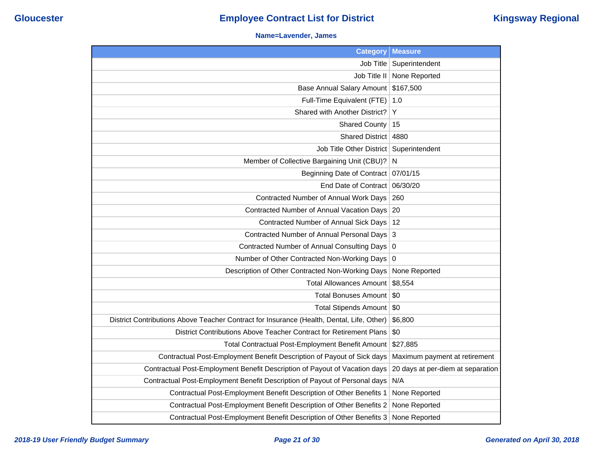#### **Name=Lavender, James**

| <b>Category</b>                                                                           | <b>Measure</b>                    |
|-------------------------------------------------------------------------------------------|-----------------------------------|
| Job Title                                                                                 | Superintendent                    |
| Job Title II                                                                              | None Reported                     |
| <b>Base Annual Salary Amount</b>                                                          | \$167,500                         |
| Full-Time Equivalent (FTE)                                                                | 1.0                               |
| Shared with Another District?                                                             | Y                                 |
| <b>Shared County</b>                                                                      | 15                                |
| <b>Shared District</b>                                                                    | 4880                              |
| Job Title Other District                                                                  | Superintendent                    |
| Member of Collective Bargaining Unit (CBU)?                                               | N                                 |
| Beginning Date of Contract 07/01/15                                                       |                                   |
| End Date of Contract                                                                      | 06/30/20                          |
| Contracted Number of Annual Work Days                                                     | 260                               |
| Contracted Number of Annual Vacation Days                                                 | 20                                |
| Contracted Number of Annual Sick Days                                                     | 12                                |
| Contracted Number of Annual Personal Days                                                 | 3                                 |
| Contracted Number of Annual Consulting Days                                               | $\mathbf 0$                       |
| Number of Other Contracted Non-Working Days                                               | 0                                 |
| Description of Other Contracted Non-Working Days                                          | None Reported                     |
| <b>Total Allowances Amount</b>                                                            | \$8,554                           |
| <b>Total Bonuses Amount</b>                                                               | \$0                               |
| Total Stipends Amount \$0                                                                 |                                   |
| District Contributions Above Teacher Contract for Insurance (Health, Dental, Life, Other) | \$6,800                           |
| District Contributions Above Teacher Contract for Retirement Plans                        | \$0                               |
| Total Contractual Post-Employment Benefit Amount                                          | \$27,885                          |
| Contractual Post-Employment Benefit Description of Payout of Sick days                    | Maximum payment at retirement     |
| Contractual Post-Employment Benefit Description of Payout of Vacation days                | 20 days at per-diem at separation |
| Contractual Post-Employment Benefit Description of Payout of Personal days                | N/A                               |
| Contractual Post-Employment Benefit Description of Other Benefits 1                       | None Reported                     |
| Contractual Post-Employment Benefit Description of Other Benefits 2                       | None Reported                     |
| Contractual Post-Employment Benefit Description of Other Benefits 3                       | None Reported                     |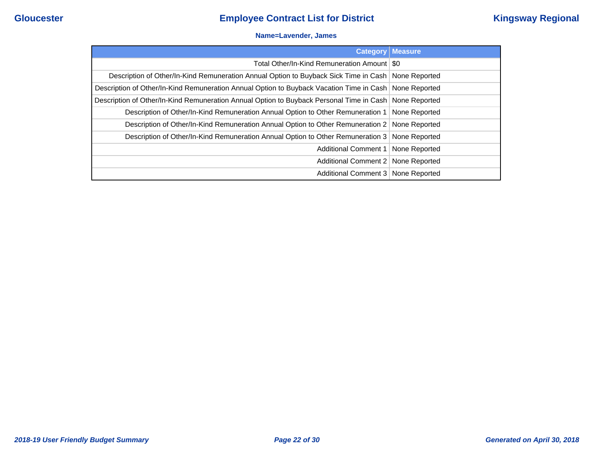#### **Name=Lavender, James**

| <b>Category</b>                                                                                          | <b>Measure</b> |
|----------------------------------------------------------------------------------------------------------|----------------|
| Total Other/In-Kind Remuneration Amount   \$0                                                            |                |
| Description of Other/In-Kind Remuneration Annual Option to Buyback Sick Time in Cash   None Reported     |                |
| Description of Other/In-Kind Remuneration Annual Option to Buyback Vacation Time in Cash   None Reported |                |
| Description of Other/In-Kind Remuneration Annual Option to Buyback Personal Time in Cash None Reported   |                |
| Description of Other/In-Kind Remuneration Annual Option to Other Remuneration 1   None Reported          |                |
| Description of Other/In-Kind Remuneration Annual Option to Other Remuneration 2   None Reported          |                |
| Description of Other/In-Kind Remuneration Annual Option to Other Remuneration 3   None Reported          |                |
| Additional Comment 1   None Reported                                                                     |                |
| Additional Comment 2 None Reported                                                                       |                |
| Additional Comment 3   None Reported                                                                     |                |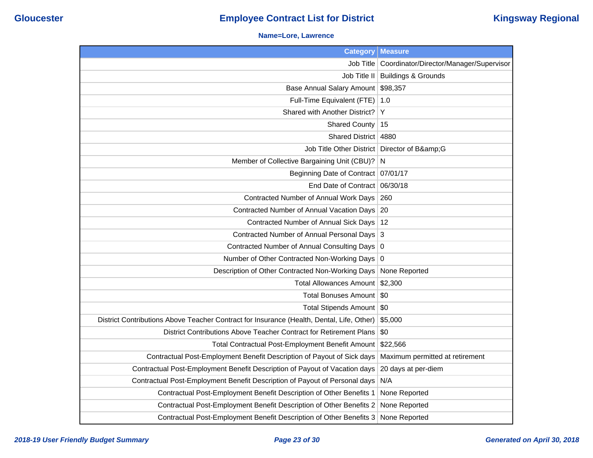### **Name=Lore, Lawrence**

| <b>Category</b>                                                                           | <b>Measure</b>                          |
|-------------------------------------------------------------------------------------------|-----------------------------------------|
| Job Title                                                                                 | Coordinator/Director/Manager/Supervisor |
|                                                                                           | Job Title II   Buildings & Grounds      |
| Base Annual Salary Amount \$98,357                                                        |                                         |
| Full-Time Equivalent (FTE)                                                                | 1.0                                     |
| Shared with Another District?                                                             | Υ                                       |
| <b>Shared County</b>                                                                      | 15                                      |
| Shared District   4880                                                                    |                                         |
| Job Title Other District   Director of B&G                                                |                                         |
| Member of Collective Bargaining Unit (CBU)? N                                             |                                         |
| Beginning Date of Contract 07/01/17                                                       |                                         |
| End Date of Contract 06/30/18                                                             |                                         |
| Contracted Number of Annual Work Days   260                                               |                                         |
| Contracted Number of Annual Vacation Days 20                                              |                                         |
| Contracted Number of Annual Sick Days   12                                                |                                         |
| Contracted Number of Annual Personal Days 3                                               |                                         |
| Contracted Number of Annual Consulting Days   0                                           |                                         |
| Number of Other Contracted Non-Working Days 0                                             |                                         |
| Description of Other Contracted Non-Working Days                                          | None Reported                           |
| Total Allowances Amount \$2,300                                                           |                                         |
| Total Bonuses Amount   \$0                                                                |                                         |
| Total Stipends Amount   \$0                                                               |                                         |
| District Contributions Above Teacher Contract for Insurance (Health, Dental, Life, Other) | \$5,000                                 |
| District Contributions Above Teacher Contract for Retirement Plans                        | \$0                                     |
| Total Contractual Post-Employment Benefit Amount                                          | \$22,566                                |
| Contractual Post-Employment Benefit Description of Payout of Sick days                    | Maximum permitted at retirement         |
| Contractual Post-Employment Benefit Description of Payout of Vacation days                | 20 days at per-diem                     |
| Contractual Post-Employment Benefit Description of Payout of Personal days                | N/A                                     |
| Contractual Post-Employment Benefit Description of Other Benefits 1                       | None Reported                           |
| Contractual Post-Employment Benefit Description of Other Benefits 2                       | None Reported                           |
| Contractual Post-Employment Benefit Description of Other Benefits 3                       | None Reported                           |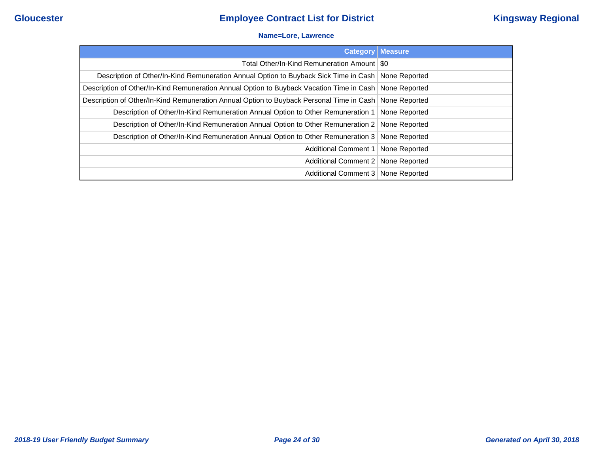#### **Name=Lore, Lawrence**

|                                                                                                        | <b>Category   Measure</b> |
|--------------------------------------------------------------------------------------------------------|---------------------------|
| Total Other/In-Kind Remuneration Amount   \$0                                                          |                           |
| Description of Other/In-Kind Remuneration Annual Option to Buyback Sick Time in Cash   None Reported   |                           |
| Description of Other/In-Kind Remuneration Annual Option to Buyback Vacation Time in Cash None Reported |                           |
| Description of Other/In-Kind Remuneration Annual Option to Buyback Personal Time in Cash None Reported |                           |
| Description of Other/In-Kind Remuneration Annual Option to Other Remuneration 1                        | None Reported             |
| Description of Other/In-Kind Remuneration Annual Option to Other Remuneration 2 None Reported          |                           |
| Description of Other/In-Kind Remuneration Annual Option to Other Remuneration 3 None Reported          |                           |
| Additional Comment 1                                                                                   | None Reported             |
| Additional Comment 2   None Reported                                                                   |                           |
| Additional Comment 3 None Reported                                                                     |                           |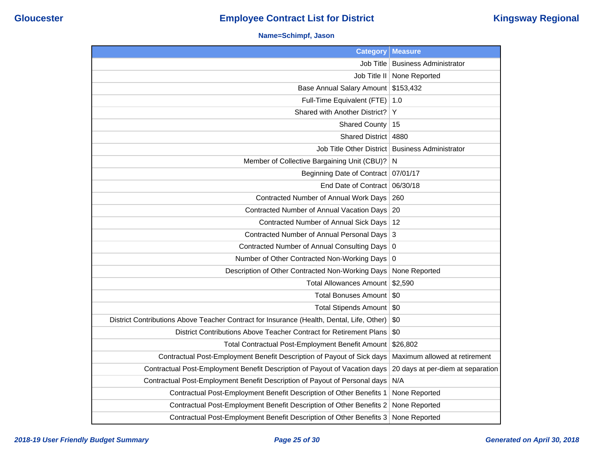### **Name=Schimpf, Jason**

| <b>Category</b>                                                                           | <b>Measure</b>                    |
|-------------------------------------------------------------------------------------------|-----------------------------------|
| Job Title                                                                                 | <b>Business Administrator</b>     |
| Job Title II                                                                              | None Reported                     |
| <b>Base Annual Salary Amount</b>                                                          | \$153,432                         |
| Full-Time Equivalent (FTE)                                                                | 1.0                               |
| Shared with Another District?                                                             | Υ                                 |
| <b>Shared County</b>                                                                      | 15                                |
| <b>Shared District</b>                                                                    | 4880                              |
| Job Title Other District                                                                  | <b>Business Administrator</b>     |
| Member of Collective Bargaining Unit (CBU)?                                               | N                                 |
| Beginning Date of Contract 07/01/17                                                       |                                   |
| End Date of Contract                                                                      | 06/30/18                          |
| Contracted Number of Annual Work Days                                                     | 260                               |
| Contracted Number of Annual Vacation Days                                                 | 20                                |
| Contracted Number of Annual Sick Days                                                     | 12                                |
| Contracted Number of Annual Personal Days 3                                               |                                   |
| Contracted Number of Annual Consulting Days   0                                           |                                   |
| Number of Other Contracted Non-Working Days                                               | $\overline{0}$                    |
| Description of Other Contracted Non-Working Days                                          | None Reported                     |
| <b>Total Allowances Amount</b>                                                            | \$2,590                           |
| <b>Total Bonuses Amount</b>                                                               | \$0                               |
| Total Stipends Amount   \$0                                                               |                                   |
| District Contributions Above Teacher Contract for Insurance (Health, Dental, Life, Other) | \$0                               |
| District Contributions Above Teacher Contract for Retirement Plans                        | \$0                               |
| Total Contractual Post-Employment Benefit Amount                                          | \$26,802                          |
| Contractual Post-Employment Benefit Description of Payout of Sick days                    | Maximum allowed at retirement     |
| Contractual Post-Employment Benefit Description of Payout of Vacation days                | 20 days at per-diem at separation |
| Contractual Post-Employment Benefit Description of Payout of Personal days                | N/A                               |
| Contractual Post-Employment Benefit Description of Other Benefits 1                       | None Reported                     |
| Contractual Post-Employment Benefit Description of Other Benefits 2                       | None Reported                     |
| Contractual Post-Employment Benefit Description of Other Benefits 3                       | None Reported                     |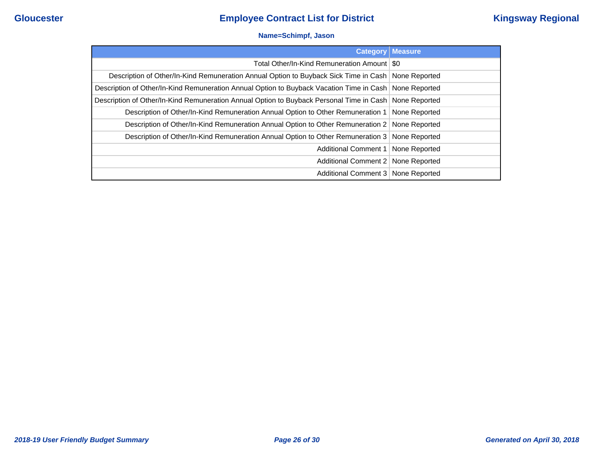### **Name=Schimpf, Jason**

| <b>Category</b>                                                                                          | <b>Measure</b> |
|----------------------------------------------------------------------------------------------------------|----------------|
| Total Other/In-Kind Remuneration Amount   \$0                                                            |                |
| Description of Other/In-Kind Remuneration Annual Option to Buyback Sick Time in Cash   None Reported     |                |
| Description of Other/In-Kind Remuneration Annual Option to Buyback Vacation Time in Cash   None Reported |                |
| Description of Other/In-Kind Remuneration Annual Option to Buyback Personal Time in Cash None Reported   |                |
| Description of Other/In-Kind Remuneration Annual Option to Other Remuneration 1   None Reported          |                |
| Description of Other/In-Kind Remuneration Annual Option to Other Remuneration 2   None Reported          |                |
| Description of Other/In-Kind Remuneration Annual Option to Other Remuneration 3 None Reported            |                |
| Additional Comment 1   None Reported                                                                     |                |
| Additional Comment 2 None Reported                                                                       |                |
| Additional Comment 3   None Reported                                                                     |                |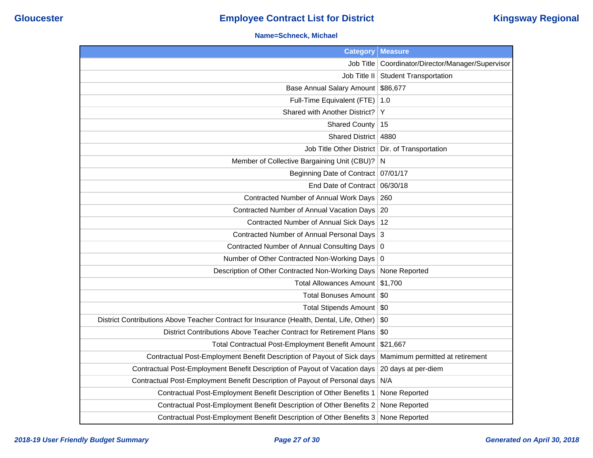### **Name=Schneck, Michael**

| <b>Category</b>                                                                           | <b>Measure</b>                          |
|-------------------------------------------------------------------------------------------|-----------------------------------------|
| Job Title                                                                                 | Coordinator/Director/Manager/Supervisor |
| Job Title II                                                                              | <b>Student Transportation</b>           |
| Base Annual Salary Amount \$86,677                                                        |                                         |
| Full-Time Equivalent (FTE)                                                                | 1.0                                     |
| Shared with Another District?                                                             | Y                                       |
| <b>Shared County</b>                                                                      | 15                                      |
| Shared District   4880                                                                    |                                         |
| Job Title Other District   Dir. of Transportation                                         |                                         |
| Member of Collective Bargaining Unit (CBU)?                                               | $\overline{N}$                          |
| Beginning Date of Contract 07/01/17                                                       |                                         |
| End Date of Contract 06/30/18                                                             |                                         |
| Contracted Number of Annual Work Days                                                     | 260                                     |
| Contracted Number of Annual Vacation Days                                                 | 20                                      |
| Contracted Number of Annual Sick Days   12                                                |                                         |
| Contracted Number of Annual Personal Days 3                                               |                                         |
| Contracted Number of Annual Consulting Days 0                                             |                                         |
| Number of Other Contracted Non-Working Days 0                                             |                                         |
| Description of Other Contracted Non-Working Days                                          | None Reported                           |
| Total Allowances Amount \$1,700                                                           |                                         |
| <b>Total Bonuses Amount</b>                                                               | <b>SO</b>                               |
| Total Stipends Amount   \$0                                                               |                                         |
| District Contributions Above Teacher Contract for Insurance (Health, Dental, Life, Other) | \$0                                     |
| District Contributions Above Teacher Contract for Retirement Plans                        | \$0                                     |
| Total Contractual Post-Employment Benefit Amount                                          | \$21,667                                |
| Contractual Post-Employment Benefit Description of Payout of Sick days                    | Mamimum permitted at retirement         |
| Contractual Post-Employment Benefit Description of Payout of Vacation days                | 20 days at per-diem                     |
| Contractual Post-Employment Benefit Description of Payout of Personal days                | N/A                                     |
| Contractual Post-Employment Benefit Description of Other Benefits 1                       | None Reported                           |
| Contractual Post-Employment Benefit Description of Other Benefits 2                       | None Reported                           |
| Contractual Post-Employment Benefit Description of Other Benefits 3                       | None Reported                           |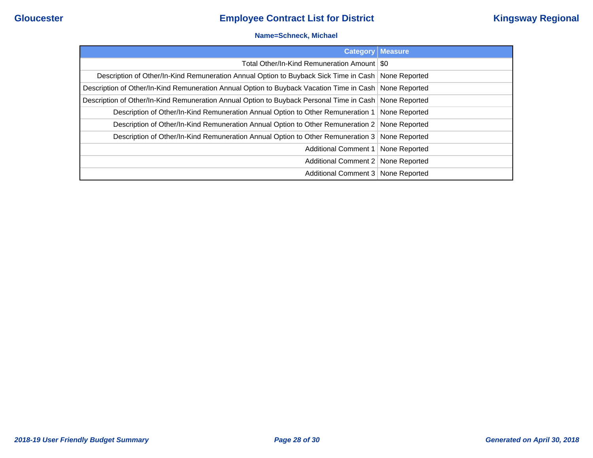#### **Name=Schneck, Michael**

|                                                                                                        | <b>Category Measure</b> |
|--------------------------------------------------------------------------------------------------------|-------------------------|
| Total Other/In-Kind Remuneration Amount   \$0                                                          |                         |
| Description of Other/In-Kind Remuneration Annual Option to Buyback Sick Time in Cash   None Reported   |                         |
| Description of Other/In-Kind Remuneration Annual Option to Buyback Vacation Time in Cash None Reported |                         |
| Description of Other/In-Kind Remuneration Annual Option to Buyback Personal Time in Cash None Reported |                         |
| Description of Other/In-Kind Remuneration Annual Option to Other Remuneration 1                        | None Reported           |
| Description of Other/In-Kind Remuneration Annual Option to Other Remuneration 2 None Reported          |                         |
| Description of Other/In-Kind Remuneration Annual Option to Other Remuneration 3 None Reported          |                         |
| Additional Comment 1                                                                                   | None Reported           |
| Additional Comment 2   None Reported                                                                   |                         |
| Additional Comment 3   None Reported                                                                   |                         |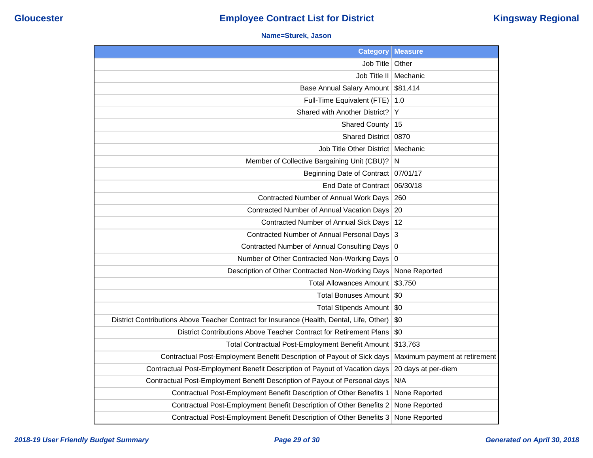### **Name=Sturek, Jason**

| <b>Category</b>                                                                           | <b>Measure</b>                |
|-------------------------------------------------------------------------------------------|-------------------------------|
| Job Title                                                                                 | Other                         |
| Job Title II                                                                              | Mechanic                      |
| <b>Base Annual Salary Amount</b>                                                          | \$81,414                      |
| Full-Time Equivalent (FTE)                                                                | 1.0                           |
| Shared with Another District?                                                             | Y                             |
| <b>Shared County</b>                                                                      | 15                            |
| Shared District                                                                           | 0870                          |
| Job Title Other District                                                                  | Mechanic                      |
| Member of Collective Bargaining Unit (CBU)?                                               | N                             |
| Beginning Date of Contract                                                                | 07/01/17                      |
| End Date of Contract                                                                      | 06/30/18                      |
| Contracted Number of Annual Work Days                                                     | 260                           |
| Contracted Number of Annual Vacation Days                                                 | 20                            |
| <b>Contracted Number of Annual Sick Days</b>                                              | 12                            |
| Contracted Number of Annual Personal Days                                                 | 3                             |
| <b>Contracted Number of Annual Consulting Days</b>                                        | $\pmb{0}$                     |
| Number of Other Contracted Non-Working Days                                               | 0                             |
| Description of Other Contracted Non-Working Days                                          | None Reported                 |
| <b>Total Allowances Amount</b>                                                            | \$3,750                       |
| <b>Total Bonuses Amount</b>                                                               | \$0                           |
| <b>Total Stipends Amount</b>                                                              | \$0                           |
| District Contributions Above Teacher Contract for Insurance (Health, Dental, Life, Other) | \$0                           |
| District Contributions Above Teacher Contract for Retirement Plans                        | \$0                           |
| Total Contractual Post-Employment Benefit Amount                                          | \$13,763                      |
| Contractual Post-Employment Benefit Description of Payout of Sick days                    | Maximum payment at retirement |
| Contractual Post-Employment Benefit Description of Payout of Vacation days                | 20 days at per-diem           |
| Contractual Post-Employment Benefit Description of Payout of Personal days                | N/A                           |
| Contractual Post-Employment Benefit Description of Other Benefits 1                       | None Reported                 |
| Contractual Post-Employment Benefit Description of Other Benefits 2                       | None Reported                 |
| Contractual Post-Employment Benefit Description of Other Benefits 3                       | None Reported                 |